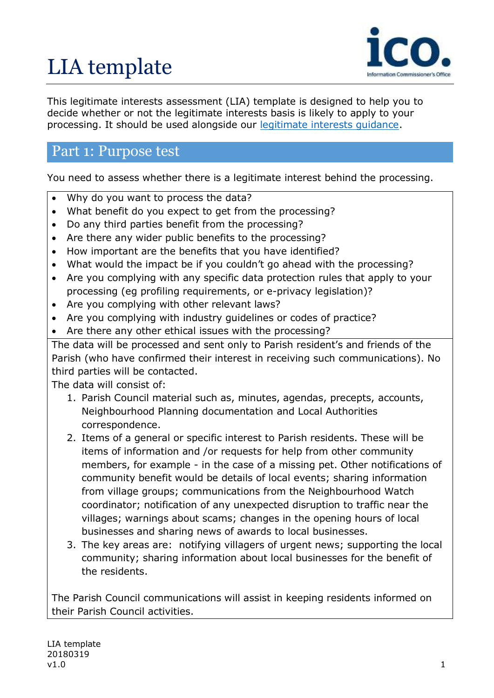# LIA template



This legitimate interests assessment (LIA) template is designed to help you to decide whether or not the legitimate interests basis is likely to apply to your processing. It should be used alongside our [legitimate interests guidance.](https://ico.org.uk/for-organisations/guide-to-the-general-data-protection-regulation-gdpr/lawful-basis-for-processing/legitimate-interests/)

### Part 1: Purpose test

You need to assess whether there is a legitimate interest behind the processing.

- Why do you want to process the data?
- What benefit do you expect to get from the processing?
- Do any third parties benefit from the processing?
- Are there any wider public benefits to the processing?
- How important are the benefits that you have identified?
- What would the impact be if you couldn't go ahead with the processing?
- Are you complying with any specific data protection rules that apply to your processing (eg profiling requirements, or e-privacy legislation)?
- Are you complying with other relevant laws?
- Are you complying with industry guidelines or codes of practice?
- Are there any other ethical issues with the processing?

The data will be processed and sent only to Parish resident's and friends of the Parish (who have confirmed their interest in receiving such communications). No third parties will be contacted.

The data will consist of:

- 1. Parish Council material such as, minutes, agendas, precepts, accounts, Neighbourhood Planning documentation and Local Authorities correspondence.
- 2. Items of a general or specific interest to Parish residents. These will be items of information and /or requests for help from other community members, for example - in the case of a missing pet. Other notifications of community benefit would be details of local events; sharing information from village groups; communications from the Neighbourhood Watch coordinator; notification of any unexpected disruption to traffic near the villages; warnings about scams; changes in the opening hours of local businesses and sharing news of awards to local businesses.
- 3. The key areas are: notifying villagers of urgent news; supporting the local community; sharing information about local businesses for the benefit of the residents.

The Parish Council communications will assist in keeping residents informed on their Parish Council activities.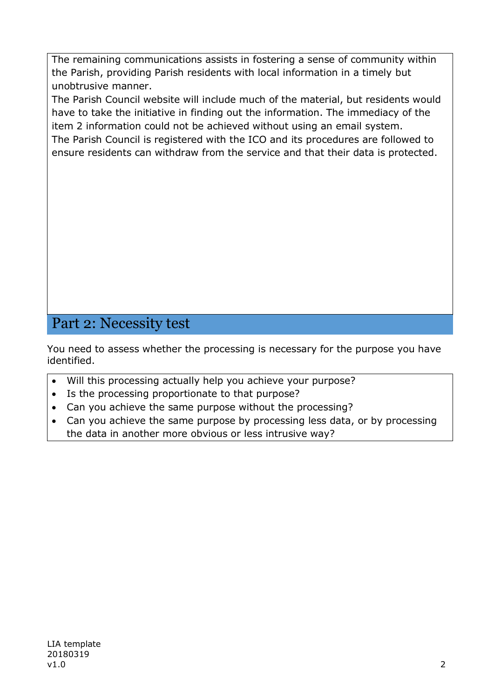The remaining communications assists in fostering a sense of community within the Parish, providing Parish residents with local information in a timely but unobtrusive manner.

The Parish Council website will include much of the material, but residents would have to take the initiative in finding out the information. The immediacy of the item 2 information could not be achieved without using an email system. The Parish Council is registered with the ICO and its procedures are followed to

ensure residents can withdraw from the service and that their data is protected.

## Part 2: Necessity test

You need to assess whether the processing is necessary for the purpose you have identified.

- Will this processing actually help you achieve your purpose?
- Is the processing proportionate to that purpose?
- Can you achieve the same purpose without the processing?
- Can you achieve the same purpose by processing less data, or by processing the data in another more obvious or less intrusive way?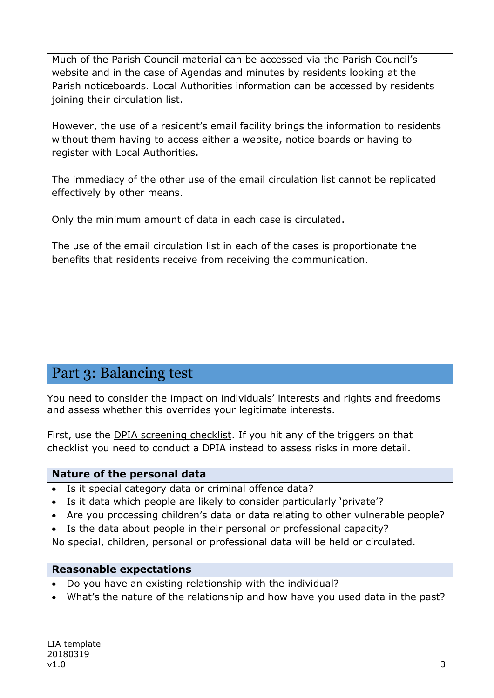Much of the Parish Council material can be accessed via the Parish Council's website and in the case of Agendas and minutes by residents looking at the Parish noticeboards. Local Authorities information can be accessed by residents joining their circulation list.

However, the use of a resident's email facility brings the information to residents without them having to access either a website, notice boards or having to register with Local Authorities.

The immediacy of the other use of the email circulation list cannot be replicated effectively by other means.

Only the minimum amount of data in each case is circulated.

The use of the email circulation list in each of the cases is proportionate the benefits that residents receive from receiving the communication.

## Part 3: Balancing test

You need to consider the impact on individuals' interests and rights and freedoms and assess whether this overrides your legitimate interests.

First, use the [DPIA screening checklist.](https://ico.org.uk/for-organisations/guide-to-the-general-data-protection-regulation-gdpr/accountability-and-governance/data-protection-impact-assessments/) If you hit any of the triggers on that checklist you need to conduct a DPIA instead to assess risks in more detail.

#### **Nature of the personal data**

- Is it special category data or criminal offence data?
- Is it data which people are likely to consider particularly 'private'?
- Are you processing children's data or data relating to other vulnerable people?
- Is the data about people in their personal or professional capacity?

No special, children, personal or professional data will be held or circulated.

#### **Reasonable expectations**

- Do you have an existing relationship with the individual?
- What's the nature of the relationship and how have you used data in the past?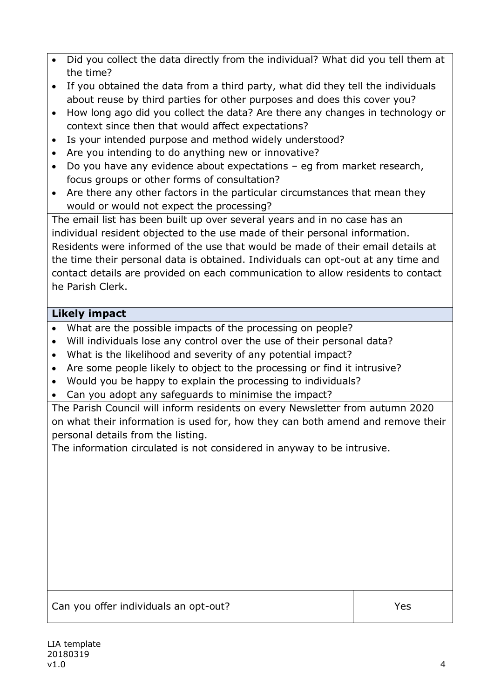- Did you collect the data directly from the individual? What did you tell them at the time?
- If you obtained the data from a third party, what did they tell the individuals about reuse by third parties for other purposes and does this cover you?
- How long ago did you collect the data? Are there any changes in technology or context since then that would affect expectations?
- Is your intended purpose and method widely understood?
- Are you intending to do anything new or innovative?
- Do you have any evidence about expectations eg from market research, focus groups or other forms of consultation?
- Are there any other factors in the particular circumstances that mean they would or would not expect the processing?

The email list has been built up over several years and in no case has an individual resident objected to the use made of their personal information. Residents were informed of the use that would be made of their email details at the time their personal data is obtained. Individuals can opt-out at any time and contact details are provided on each communication to allow residents to contact he Parish Clerk.

#### **Likely impact**

- What are the possible impacts of the processing on people?
- Will individuals lose any control over the use of their personal data?
- What is the likelihood and severity of any potential impact?
- Are some people likely to object to the processing or find it intrusive?
- Would you be happy to explain the processing to individuals?
- Can you adopt any safeguards to minimise the impact?

The Parish Council will inform residents on every Newsletter from autumn 2020 on what their information is used for, how they can both amend and remove their personal details from the listing.

The information circulated is not considered in anyway to be intrusive.

Can you offer individuals an opt-out?